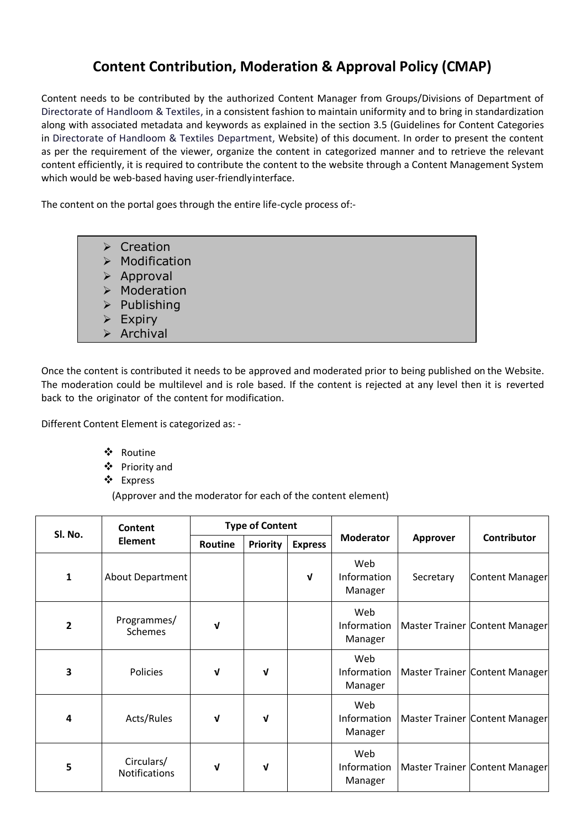## **Content Contribution, Moderation & Approval Policy (CMAP)**

Content needs to be contributed by the authorized Content Manager from Groups/Divisions of Department of Directorate of Handloom & Textiles, in a consistent fashion to maintain uniformity and to bring in standardization along with associated metadata and keywords as explained in the section 3.5 (Guidelines for Content Categories in Directorate of Handloom & Textiles Department, Website) of this document. In order to present the content as per the requirement of the viewer, organize the content in categorized manner and to retrieve the relevant content efficiently, it is required to contribute the content to the website through a Content Management System which would be web-based having user-friendlyinterface.

The content on the portal goes through the entire life-cycle process of:-

- $\triangleright$  Creation  $\triangleright$  Modification
- $\triangleright$  Approval
- $\triangleright$  Moderation
- $\triangleright$  Publishing
- $\triangleright$  Expiry
- $\triangleright$  Archival

Once the content is contributed it needs to be approved and moderated prior to being published on the Website. The moderation could be multilevel and is role based. If the content is rejected at any level then it is reverted back to the originator of the content for modification.

Different Content Element is categorized as: -

- Routine
- Priority and
- Express

(Approver and the moderator for each of the content element)

| SI. No.                 | Content<br><b>Element</b>     | <b>Type of Content</b> |                 |                |                               |                 |                                |
|-------------------------|-------------------------------|------------------------|-----------------|----------------|-------------------------------|-----------------|--------------------------------|
|                         |                               | Routine                | <b>Priority</b> | <b>Express</b> | <b>Moderator</b>              | <b>Approver</b> | <b>Contributor</b>             |
| $\mathbf{1}$            | About Department              |                        |                 | $\mathbf{v}$   | Web<br>Information<br>Manager | Secretary       | Content Manager                |
| $\overline{2}$          | Programmes/<br><b>Schemes</b> | V                      |                 |                | Web<br>Information<br>Manager |                 | Master Trainer Content Manager |
| 3                       | Policies                      | ν                      | V               |                | Web<br>Information<br>Manager |                 | Master Trainer Content Manager |
| $\overline{\mathbf{4}}$ | Acts/Rules                    | V                      | V               |                | Web<br>Information<br>Manager |                 | Master Trainer Content Manager |
| 5                       | Circulars/<br>Notifications   | V                      | V               |                | Web<br>Information<br>Manager |                 | Master Trainer Content Manager |